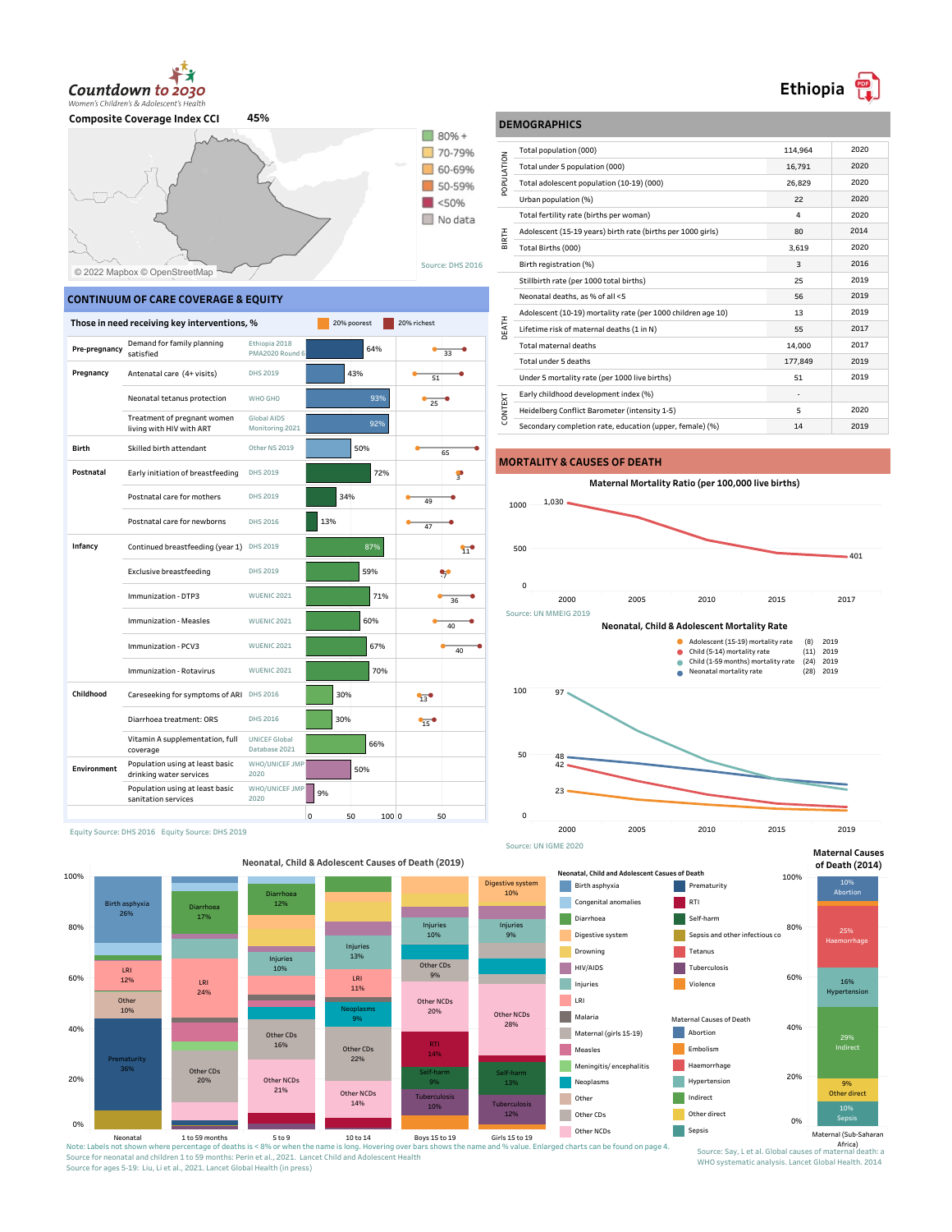

**Composite Coverage Index CCI 45%**



## **CONTINUUM OF CARE COVERAGE & EQUITY**

|               | Those in need receiving key interventions, %               |                                       | 20% poorest      | 20% richest |
|---------------|------------------------------------------------------------|---------------------------------------|------------------|-------------|
| Pre-pregnancy | Demand for family planning<br>satisfied                    | Ethiopia 2018<br>PMA2020 Round 6      | 64%              | 33          |
| Pregnancy     | Antenatal care (4+ visits)                                 | DHS 2019                              | 43%              | 51          |
|               | Neonatal tetanus protection                                | WHO GHO                               | 93%              | 25          |
|               | Treatment of pregnant women<br>living with HIV with ART    | Global AIDS<br>Monitoring 2021        | 92%              |             |
| <b>Birth</b>  | Skilled birth attendant                                    | Other NS 2019                         | 50%              | 65          |
| Postnatal     | Early initiation of breastfeeding                          | DHS 2019                              | 72%              | ş           |
|               | Postnatal care for mothers                                 | DHS 2019                              | 34%              | 49          |
|               | Postnatal care for newborns                                | DHS 2016                              | 13%              | 47          |
| Infancy       | Continued breastfeeding (year 1)                           | DHS 2019                              | 87%              | 11          |
|               | <b>Exclusive breastfeeding</b>                             | DHS 2019                              | 59%              | У.          |
|               | Immunization - DTP3                                        | <b>WUENIC 2021</b>                    | 71%              | 36          |
|               | Immunization - Measles                                     | <b>WUENIC 2021</b>                    | 60%              | 40          |
|               | Immunization - PCV3                                        | <b>WUENIC 2021</b>                    | 67%              | 40          |
|               | Immunization - Rotavirus                                   | <b>WUENIC 2021</b>                    | 70%              |             |
| Childhood     | Careseeking for symptoms of ARI DHS 2016                   |                                       | 30%              | 13          |
|               | Diarrhoea treatment: ORS                                   | DHS 2016                              | 30%              | 15          |
|               | Vitamin A supplementation, full<br>coverage                | <b>UNICEF Global</b><br>Database 2021 | 66%              |             |
| Environment   | Population using at least basic<br>drinking water services | WHO/UNICEF JMP<br>2020                | 50%              |             |
|               | Population using at least basic<br>sanitation services     | WHO/UNICEF JMP<br>2020                | 9%               |             |
|               |                                                            |                                       | 0<br>50<br>100 0 | 50          |

Equity Source: DHS 2016 Equity Source: DHS 2019

**Neonatal, Child & Adolescent Causes of Death (2019)** 100% Digestive system **Birth asphyxia** 10% Diarrhoea 12%  $\Box$  Congenital anomali **Birth asphyx** Diarrhoea 17% 26% П Diarrhoea 80% Injurie Injuries 10% ı. Digestive syster 9% Injurie<br>13% Drowning Injuries 13% 10% Other CDs **HIV/AIDS** LRI<br>12% 60% 9% 12% LRI LRI Injuries 11% 24% **LRI** Other NCDs Other 10% Neoplasms 20% Other NCDs Ne optasins and the display of the set of the set of the set of the set of the set of the set of the set of the set of the set of the set of the set of the set of the set of the set of the set of the set of the set of the **Malaria** 9% 28% 40% Maternal (girls 15-19) Other CDs 16% Other CDs **Measles** 22% 14% Prematurity Meningitis/ encephalitis Other CDs 36% Self-harm 20% Self-harm Other NCDs 20% **Neoplasms** 9% 13% 21% Other NCDs **Other** Tuberculosis 14% **Tuberculosis** 10% Other CDs 12% 0% Other NCDs

#### Neonatal 1 to 59 months<br>Note: Labels not shown where percentage of deaths is < 3% or when the name is long. Hovering over bars shows the name and % value. Enlarged charts can be found on page 4. Source for neonatal and children 1 to 59 months: Perin et al., 2021. Lancet Child and Adolescent Health Source for ages 5-19: Liu, Li et al., 2021. Lancet Global Health (in press)

|                | Total population (000)                                       | 114.964 | 2020 |
|----------------|--------------------------------------------------------------|---------|------|
| POPULATION     | Total under 5 population (000)                               | 16.791  | 2020 |
|                | Total adolescent population (10-19) (000)                    | 26,829  | 2020 |
|                | Urban population (%)                                         | 22      | 2020 |
|                | Total fertility rate (births per woman)                      | 4       | 2020 |
|                | Adolescent (15-19 years) birth rate (births per 1000 girls)  | 80      | 2014 |
| mal<br>E       | Total Births (000)                                           | 3.619   | 2020 |
|                | Birth registration (%)                                       | 3       | 2016 |
|                | Stillbirth rate (per 1000 total births)                      | 25      | 2019 |
|                | Neonatal deaths, as % of all <5                              | 56      | 2019 |
|                | Adolescent (10-19) mortality rate (per 1000 children age 10) | 13      | 2019 |
| DEATH          | Lifetime risk of maternal deaths (1 in N)                    | 55      | 2017 |
|                | Total maternal deaths                                        | 14,000  | 2017 |
|                | Total under 5 deaths                                         | 177,849 | 2019 |
|                | Under 5 mortality rate (per 1000 live births)                | 51      | 2019 |
|                | Early childhood development index (%)                        |         |      |
| <b>LONTEXT</b> | Heidelberg Conflict Barometer (intensity 1-5)                | 5       | 2020 |
|                | Secondary completion rate, education (upper, female) (%)     | 14      | 2019 |
|                |                                                              |         |      |

## **MORTALITY & CAUSES OF DEATH**

**DEMOGRAPHICS**







**Maternal Causes**



#### Source: Say, L et al. Global causes of mate WHO systematic analysis. Lancet Global Health. 2014

Ethiopia<sup><sup>[9</sup>]</sup>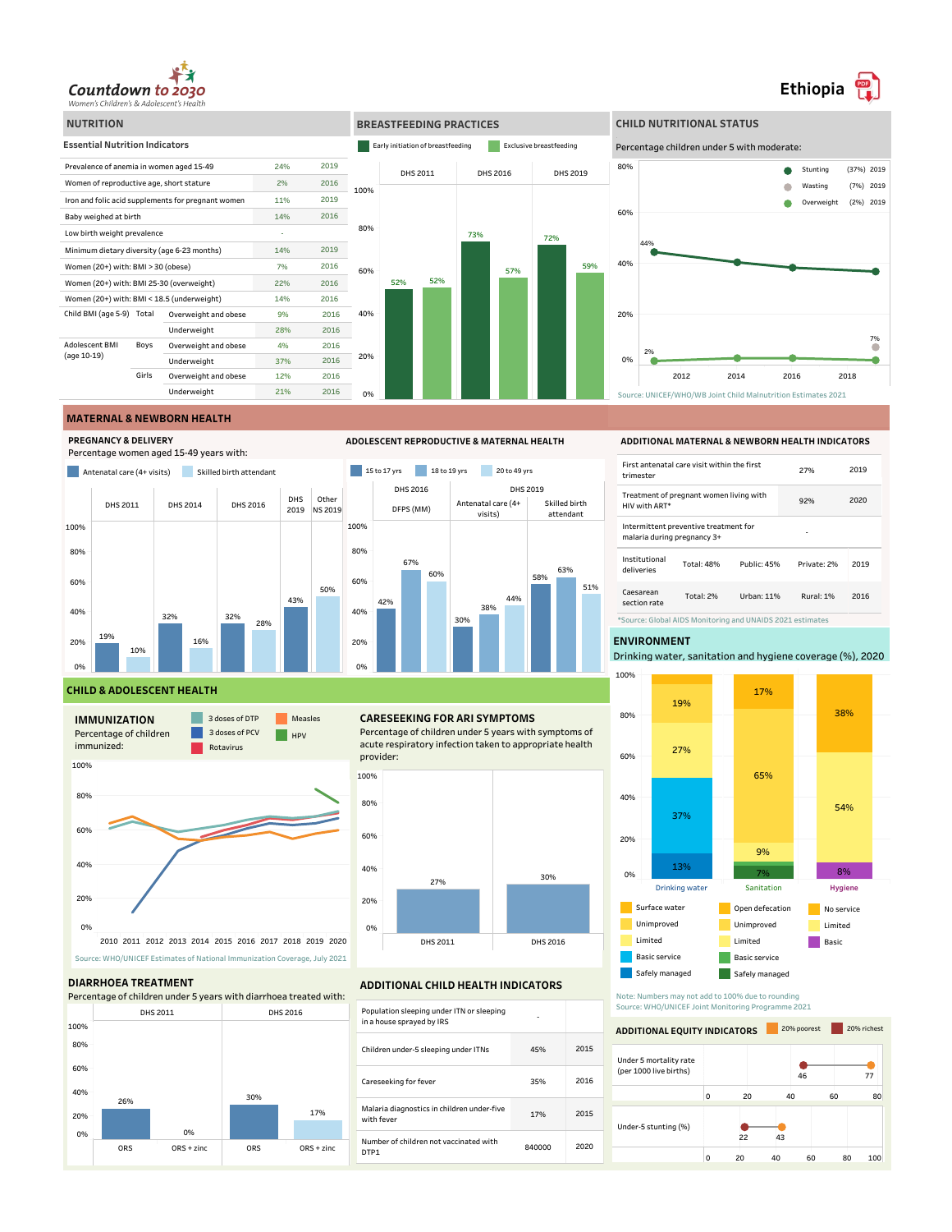



Source: UNICEF/WHO/WB Joint Child Malnutrition Estimates 2021

## **MATERNAL & NEWBORN HEALTH**

**PREGNANCY & DELIVERY**

Percentage women aged 15-49 years with:





**ADOLESCENT REPRODUCTIVE & MATERNAL HEALTH**

# **ADDITIONAL MATERNAL & NEWBORN HEALTH INDICATORS**

| First antenatal care visit within the first<br>trimester             |                  |             | 27%         | 2019 |
|----------------------------------------------------------------------|------------------|-------------|-------------|------|
| Treatment of pregnant women living with<br>HIV with ART*             |                  |             | 92%         | 2020 |
| Intermittent preventive treatment for<br>malaria during pregnancy 3+ |                  |             |             |      |
| Institutional<br>deliveries                                          | Total: 48%       | Public: 45% | Private: 2% | 2019 |
| Caesarean<br>section rate                                            | <b>Total: 2%</b> | Urban: 11%  | Rural: 1%   | 2016 |
| *Source: Global AIDS Monitoring and UNAIDS 2021 estimates            |                  |             |             |      |

### **ENVIRONMENT**

Drinking water, sanitation and hygiene coverage (%), 2020



Note: Numbers may not add to 100% due to rounding Source: WHO/UNICEF Joint Monitoring Programme 2021

## 15 16 Under 5 mortality rate **ADDITIONAL EQUITY INDICATORS** 20% richest



## **CHILD & ADOLESCENT HEALTH**



#### **DIARRHOEA TREATMENT**



## **CARESEEKING FOR ARI SYMPTOMS**

Percentage of children under 5 years with symptoms of acute respiratory infection taken to appropriate health provider:



## **ADDITIONAL CHILD HEALTH INDICATORS**

| Population sleeping under ITN or sleeping<br>in a house sprayed by IRS |        |      |
|------------------------------------------------------------------------|--------|------|
| Children under-5 sleeping under ITNs                                   | 45%    | 2015 |
| Careseeking for fever                                                  | 35%    | 2016 |
| Malaria diagnostics in children under-five<br>with fever               | 17%    | 2015 |
| Number of children not vaccinated with<br>DTP1                         | 840000 | 2020 |

# **Ethiopia**

7%

 $\bullet$ 

(7%) 2019 (37%) 2019  $(2\%)$  2019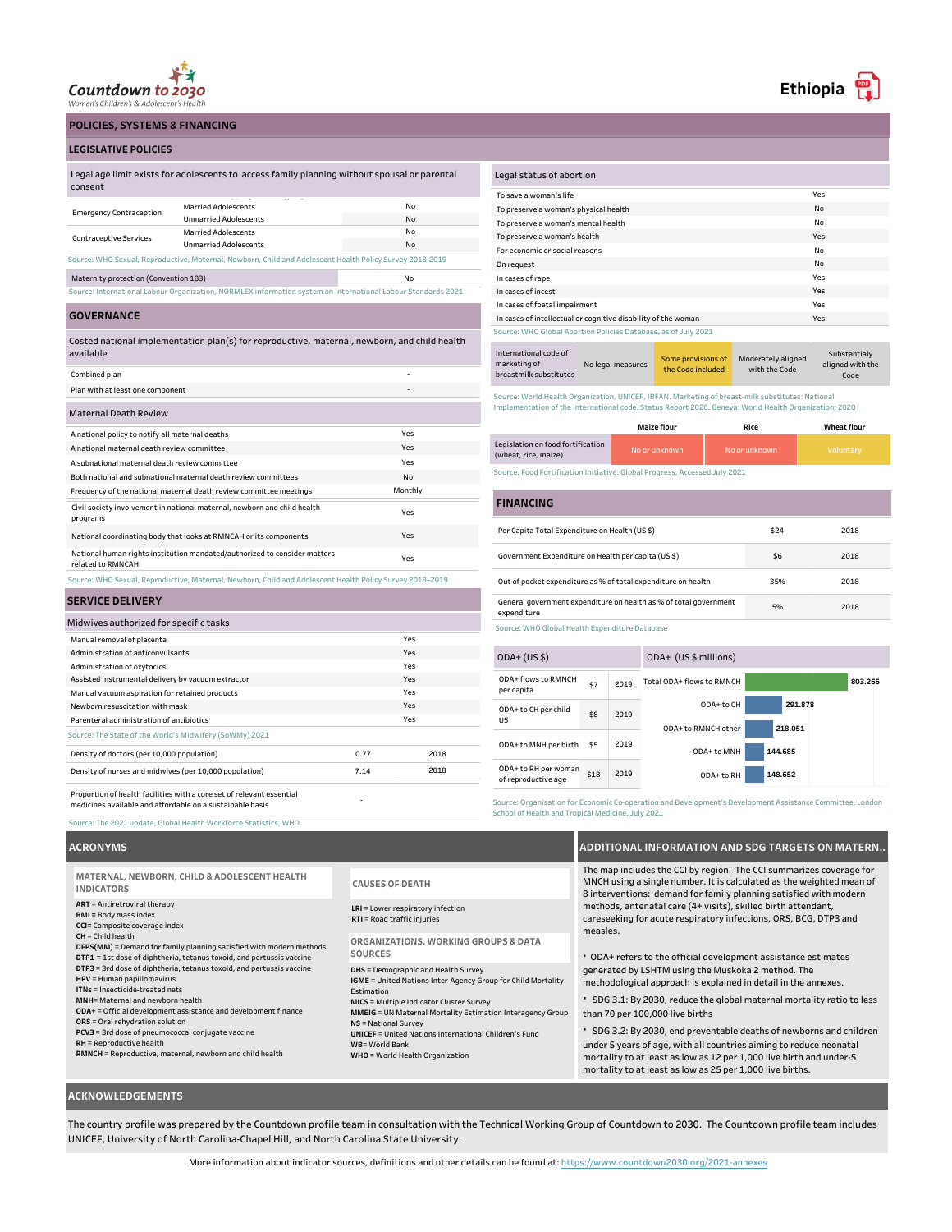

**POLICIES, SYSTEMS & FINANCING**

#### **LEGISLATIVE POLICIES**

| Legal age limit exists for adolescents to access family planning without spousal or parental |
|----------------------------------------------------------------------------------------------|
| consent                                                                                      |
|                                                                                              |

| <b>Emergency Contraception</b>                                                                               | <b>Married Adolescents</b>                                                                               | No |  |
|--------------------------------------------------------------------------------------------------------------|----------------------------------------------------------------------------------------------------------|----|--|
|                                                                                                              | <b>Unmarried Adolescents</b>                                                                             | No |  |
|                                                                                                              | <b>Married Adolescents</b>                                                                               | No |  |
| <b>Contraceptive Services</b>                                                                                | <b>Unmarried Adolescents</b>                                                                             | No |  |
|                                                                                                              | Source: WHO Sexual, Reproductive, Maternal, Newborn, Child and Adolescent Health Policy Survey 2018-2019 |    |  |
| Maternity protection (Convention 183)                                                                        |                                                                                                          | No |  |
| Source: International Labour Organization, NORMLEX information system on International Labour Standards 2021 |                                                                                                          |    |  |

**GOVERNANCE**

Costed national implementation plan(s) for reproductive, maternal, newborn, and child health available

| Combined plan                                                                                            |         |
|----------------------------------------------------------------------------------------------------------|---------|
| Plan with at least one component                                                                         |         |
| <b>Maternal Death Review</b>                                                                             |         |
| A national policy to notify all maternal deaths                                                          | Yes     |
| A national maternal death review committee                                                               | Yes     |
| A subnational maternal death review committee                                                            | Yes     |
| Both national and subnational maternal death review committees                                           | No      |
| Frequency of the national maternal death review committee meetings                                       | Monthly |
| Civil society involvement in national maternal, newborn and child health<br>programs                     | Yes     |
| National coordinating body that looks at RMNCAH or its components                                        | Yes     |
| National human rights institution mandated/authorized to consider matters<br>related to RMNCAH           | Yes     |
| Source: WHO Sexual, Reproductive, Maternal, Newborn, Child and Adolescent Health Policy Survey 2018-2019 |         |

## **SERVICE DELIVERY**

| Midwives authorized for specific tasks                                                                                             |      |      |
|------------------------------------------------------------------------------------------------------------------------------------|------|------|
| Manual removal of placenta                                                                                                         |      | Yes  |
| Administration of anticonvulsants                                                                                                  |      | Yes  |
| Administration of oxytocics                                                                                                        |      | Yes  |
| Assisted instrumental delivery by vacuum extractor                                                                                 |      | Yes  |
| Manual vacuum aspiration for retained products                                                                                     |      | Yes  |
| Newborn resuscitation with mask                                                                                                    |      | Yes  |
| Parenteral administration of antibiotics                                                                                           |      | Yes  |
| Source: The State of the World's Midwifery (SoWMy) 2021                                                                            |      |      |
| Density of doctors (per 10,000 population)                                                                                         | 0.77 | 2018 |
| Density of nurses and midwives (per 10,000 population)                                                                             | 7.14 | 2018 |
| Proportion of health facilities with a core set of relevant essential<br>medicines available and affordable on a sustainable basis | ٠    |      |

| Legal status of abortion                                       |     |
|----------------------------------------------------------------|-----|
| To save a woman's life                                         | Yes |
| To preserve a woman's physical health                          | No  |
| To preserve a woman's mental health                            | No  |
| To preserve a woman's health                                   | Yes |
| For economic or social reasons                                 | Nο  |
| On request                                                     | No. |
| In cases of rape                                               | Yes |
| In cases of incest                                             | Yes |
| In cases of foetal impairment                                  | Yes |
| In cases of intellectual or cognitive disability of the woman  | Yes |
| Source: WHO Global Abortion Policies Database, as of July 2021 |     |
|                                                                |     |

Some provisions of International code of marketing of breastmilk substitutes No legal measures the Code included Moderately aligned with the Code Substantialy aligned with the Code

Source: World Health Organization, UNICEF, IBFAN. Marketing of breast-milk substitutes: National Implementation of the international code. Status Report 2020. Geneva: World Health Organization; 2020

|                                                           | Maize flour   | Rice          | <b>Wheat flour</b> |
|-----------------------------------------------------------|---------------|---------------|--------------------|
| Legislation on food fortification<br>(wheat, rice, maize) | No or unknown | No or unknown | Voluntary          |

Source: Food Fortification Initiative. Global Progress. Accessed July 2021

#### No data to display Per Capita Total Expenditure on Health (US \$) \$24 Government Expenditure on Health per capita (US \$) \$6 Out of pocket expenditure as % of total expenditure on health 35% General government expenditure on health as % of total government expenditure 5% 2018 2018 2018 2018 **FINANCING**

Source: WHO Global Health Expenditure Database

| $ODA+ (US $)$                               |      |      | ODA+ (US \$ millions)     |         |
|---------------------------------------------|------|------|---------------------------|---------|
| ODA+ flows to RMNCH<br>per capita           | \$7  | 2019 | Total ODA+ flows to RMNCH | 803.266 |
| ODA+ to CH per child<br>U5                  | \$8  | 2019 | ODA+ to CH                | 291.878 |
|                                             |      |      | ODA+ to RMNCH other       | 218.051 |
| ODA+ to MNH per birth                       | \$5  | 2019 | ODA+ to MNH               | 144,685 |
| ODA+ to RH per woman<br>of reproductive age | \$18 | 2019 | ODA+ to RH                | 148.652 |

Source: Organisation for Economic Co-operation and Development's Development Assistance Committee, London School of Health and Tropical Medicine, July 2021

### **ACRONYMS**

Source: The 2021 update, Global Health Workforce Statistics, WHO

**ART** = Antiretroviral therapy **BMI =** Body mass index **CCI=** Composite coverage index **CH** = Child health **DFPS(MM**) = Demand for family planning satisfied with modern methods **DTP1** = 1st dose of diphtheria, tetanus toxoid, and pertussis vaccine **DTP3** = 3rd dose of diphtheria, tetanus toxoid, and pertussis vaccine **HPV** = Human papillomavirus **ITNs** = Insecticide-treated nets **MNH**= Maternal and newborn health **ODA+** = Official development assistance and development finance **ORS** = Oral rehydration solution **PCV3** = 3rd dose of pneumococcal conjugate vaccine **RH** = Reproductive health **RMNCH** = Reproductive, maternal, newborn and child health **LRI** = Lower respiratory infection **RTI** = Road traffic injuries **DHS** = Demographic and Health Survey **IGME** = United Nations Inter-Agency Group for Child Mortality Estimation **MICS** = Multiple Indicator Cluster Survey **MMEIG** = UN Maternal Mortality Estimation Interagency Group **NS** = National Survey **UNICEF** = United Nations International Children's Fund **WB**= World Bank **WHO** = World Health Organization **MATERNAL, NEWBORN, CHILD & ADOLESCENT HEALTH INDICATORS CAUSES OF DEATH**  $ORGANIZATIONS, WORKING GROUPS & D$ **SOURCES**

|            | The map includes the CCI by region. The CCI summarizes coverage for<br>MNCH using a single number. It is calculated as the weighted mean of<br>8 interventions: demand for family planning satisfied with modern |
|------------|------------------------------------------------------------------------------------------------------------------------------------------------------------------------------------------------------------------|
|            | methods, antenatal care (4+ visits), skilled birth attendant,<br>careseeking for acute respiratory infections, ORS, BCG, DTP3 and<br>measles.                                                                    |
| <b>ATA</b> | • ODA+ refers to the official development assistance estimates                                                                                                                                                   |
|            |                                                                                                                                                                                                                  |

generated by LSHTM using the Muskoka 2 method. The methodological approach is explained in detail in the annexes.

**·** SDG 3.1: By 2030, reduce the global maternal mortality ratio to less than 70 per 100,000 live births

**ADDITIONAL INFORMATION AND SDG TARGETS ON MATERN..**

**·** SDG 3.2: By 2030, end preventable deaths of newborns and children under 5 years of age, with all countries aiming to reduce neonatal mortality to at least as low as 12 per 1,000 live birth and under-5 mortality to at least as low as 25 per 1,000 live births.

### **ACKNOWLEDGEMENTS**

The country profile was prepared by the Countdown profile team in consultation with the Technical Working Group of Countdown to 2030. The Countdown profile team includes UNICEF, University of North Carolina-Chapel Hill, and North Carolina State University.